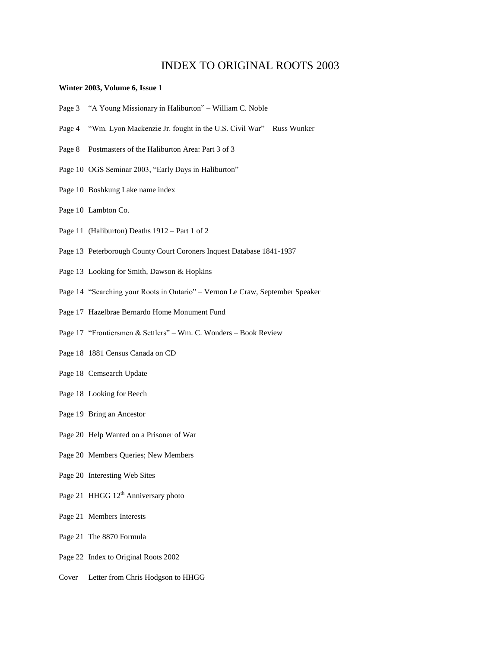## INDEX TO ORIGINAL ROOTS 2003

## **Winter 2003, Volume 6, Issue 1**

- Page 3 "A Young Missionary in Haliburton" William C. Noble
- Page 4 "Wm. Lyon Mackenzie Jr. fought in the U.S. Civil War" Russ Wunker
- Page 8 Postmasters of the Haliburton Area: Part 3 of 3
- Page 10 OGS Seminar 2003, "Early Days in Haliburton"
- Page 10 Boshkung Lake name index
- Page 10 Lambton Co.
- Page 11 (Haliburton) Deaths 1912 Part 1 of 2
- Page 13 Peterborough County Court Coroners Inquest Database 1841-1937
- Page 13 Looking for Smith, Dawson & Hopkins
- Page 14 "Searching your Roots in Ontario" Vernon Le Craw, September Speaker
- Page 17 Hazelbrae Bernardo Home Monument Fund
- Page 17 "Frontiersmen & Settlers" Wm. C. Wonders Book Review
- Page 18 1881 Census Canada on CD
- Page 18 Cemsearch Update
- Page 18 Looking for Beech
- Page 19 Bring an Ancestor
- Page 20 Help Wanted on a Prisoner of War
- Page 20 Members Queries; New Members
- Page 20 Interesting Web Sites
- Page 21 HHGG 12<sup>th</sup> Anniversary photo
- Page 21 Members Interests
- Page 21 The 8870 Formula
- Page 22 Index to Original Roots 2002
- Cover Letter from Chris Hodgson to HHGG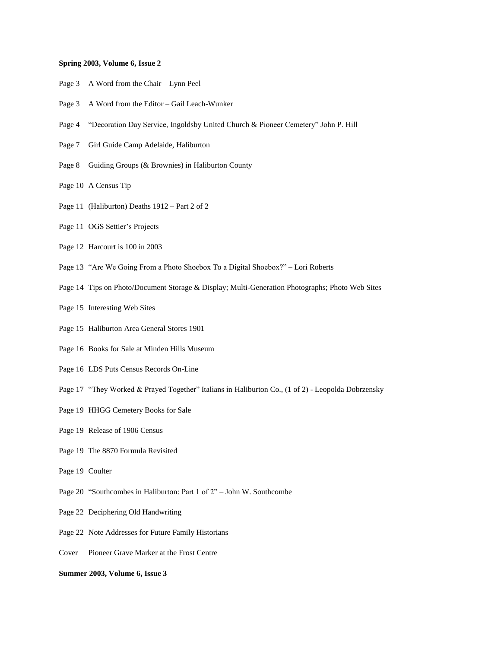## **Spring 2003, Volume 6, Issue 2**

- Page 3 A Word from the Chair Lynn Peel
- Page 3 A Word from the Editor Gail Leach-Wunker
- Page 4 "Decoration Day Service, Ingoldsby United Church & Pioneer Cemetery" John P. Hill
- Page 7 Girl Guide Camp Adelaide, Haliburton
- Page 8 Guiding Groups (& Brownies) in Haliburton County
- Page 10 A Census Tip
- Page 11 (Haliburton) Deaths 1912 Part 2 of 2
- Page 11 OGS Settler's Projects
- Page 12 Harcourt is 100 in 2003
- Page 13 "Are We Going From a Photo Shoebox To a Digital Shoebox?" Lori Roberts
- Page 14 Tips on Photo/Document Storage & Display; Multi-Generation Photographs; Photo Web Sites
- Page 15 Interesting Web Sites
- Page 15 Haliburton Area General Stores 1901
- Page 16 Books for Sale at Minden Hills Museum
- Page 16 LDS Puts Census Records On-Line
- Page 17 "They Worked & Prayed Together" Italians in Haliburton Co., (1 of 2) Leopolda Dobrzensky
- Page 19 HHGG Cemetery Books for Sale
- Page 19 Release of 1906 Census
- Page 19 The 8870 Formula Revisited
- Page 19 Coulter
- Page 20 "Southcombes in Haliburton: Part 1 of 2" John W. Southcombe
- Page 22 Deciphering Old Handwriting
- Page 22 Note Addresses for Future Family Historians
- Cover Pioneer Grave Marker at the Frost Centre
- **Summer 2003, Volume 6, Issue 3**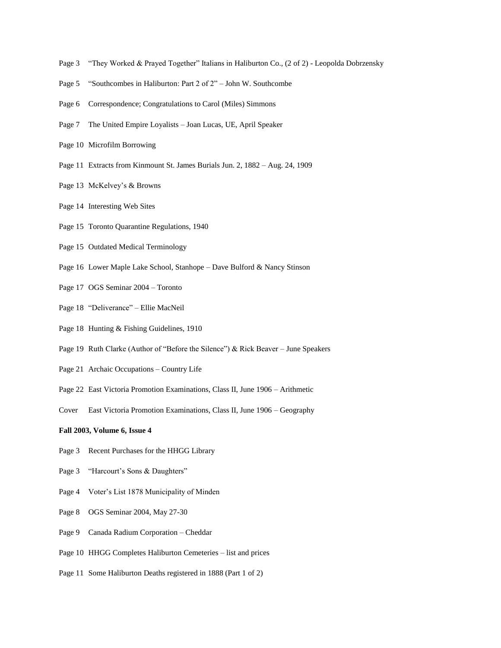- Page 3 "They Worked & Prayed Together" Italians in Haliburton Co., (2 of 2) Leopolda Dobrzensky
- Page 5 "Southcombes in Haliburton: Part 2 of 2" John W. Southcombe
- Page 6 Correspondence; Congratulations to Carol (Miles) Simmons
- Page 7 The United Empire Loyalists Joan Lucas, UE, April Speaker
- Page 10 Microfilm Borrowing
- Page 11 Extracts from Kinmount St. James Burials Jun. 2, 1882 Aug. 24, 1909
- Page 13 McKelvey's & Browns
- Page 14 Interesting Web Sites
- Page 15 Toronto Quarantine Regulations, 1940
- Page 15 Outdated Medical Terminology
- Page 16 Lower Maple Lake School, Stanhope Dave Bulford & Nancy Stinson
- Page 17 OGS Seminar 2004 Toronto
- Page 18 "Deliverance" Ellie MacNeil
- Page 18 Hunting & Fishing Guidelines, 1910
- Page 19 Ruth Clarke (Author of "Before the Silence") & Rick Beaver June Speakers
- Page 21 Archaic Occupations Country Life
- Page 22 East Victoria Promotion Examinations, Class II, June 1906 Arithmetic
- Cover East Victoria Promotion Examinations, Class II, June 1906 Geography

## **Fall 2003, Volume 6, Issue 4**

- Page 3 Recent Purchases for the HHGG Library
- Page 3 "Harcourt's Sons & Daughters"
- Page 4 Voter's List 1878 Municipality of Minden
- Page 8 OGS Seminar 2004, May 27-30
- Page 9 Canada Radium Corporation Cheddar
- Page 10 HHGG Completes Haliburton Cemeteries list and prices
- Page 11 Some Haliburton Deaths registered in 1888 (Part 1 of 2)